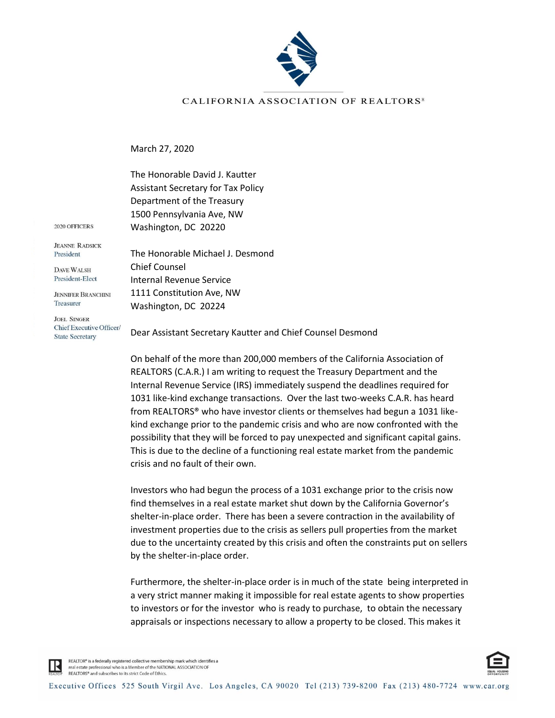

## CALIFORNIA ASSOCIATION OF REALTORS<sup>®</sup>

March 27, 2020

The Honorable David J. Kautter Assistant Secretary for Tax Policy Department of the Treasury 1500 Pennsylvania Ave, NW Washington, DC 20220

2020 OFFICERS

**JEANNE RADSICK** President

**DAVE WALSH** President-Elect

**JENNIFER BRANCHINI** Treasurer

**JOEL SINGER** Chief Executive Officer/ **State Secretary** 

The Honorable Michael J. Desmond Chief Counsel Internal Revenue Service 1111 Constitution Ave, NW Washington, DC 20224

Dear Assistant Secretary Kautter and Chief Counsel Desmond

On behalf of the more than 200,000 members of the California Association of REALTORS (C.A.R.) I am writing to request the Treasury Department and the Internal Revenue Service (IRS) immediately suspend the deadlines required for 1031 like-kind exchange transactions. Over the last two-weeks C.A.R. has heard from REALTORS® who have investor clients or themselves had begun a 1031 likekind exchange prior to the pandemic crisis and who are now confronted with the possibility that they will be forced to pay unexpected and significant capital gains. This is due to the decline of a functioning real estate market from the pandemic crisis and no fault of their own.

Investors who had begun the process of a 1031 exchange prior to the crisis now find themselves in a real estate market shut down by the California Governor's shelter-in-place order. There has been a severe contraction in the availability of investment properties due to the crisis as sellers pull properties from the market due to the uncertainty created by this crisis and often the constraints put on sellers by the shelter-in-place order.

Furthermore, the shelter-in-place order is in much of the state being interpreted in a very strict manner making it impossible for real estate agents to show properties to investors or for the investor who is ready to purchase, to obtain the necessary appraisals or inspections necessary to allow a property to be closed. This makes it



REALTOR® is a federally registered collective membership mark which identifies a real estate professional who is a Member of the NATIONAL ASSOCIATION OF REALTORS® and subscribes to its strict Code of Ethics